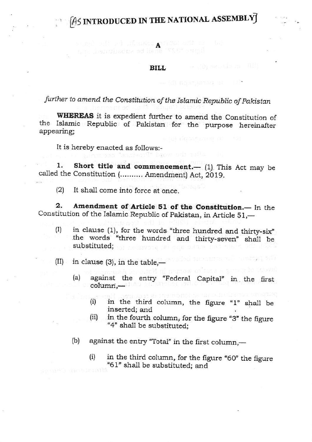# $[$ 45 INTRODUCED IN THE NATIONAL ASSEMBLY $\vec{J}$

### BILL

the fourth sounds, for the figure.<br>Return 327" shall be substituted: and

### further to amend the Constitution of the Islamic Republic of pakistan

WHEREAS it is expedient further to amend the Constitution of the Islamic Republic of Pakistan for the purpose hereinafter appearing;

It is hereby enacted as follows:-

1. Short title and commencement.  $(1)$ . This Act may be called the Constitution (.......... Amendment) Act, 2019.

(2) It shall come into force at once.

2. Amendment of Article 51 of the Constitution.-- In the Constitution of the Islamic Republic of Pakistan, in Article 51,--

- (I) in clause (1), for the words "three hundred and thirty-six" the words "three hundred and thirty-seven" shall be substituted;
- $(II)$  in clause (3), in the table,—
	- (a) against the entry "Federal Capital' in the first columri,
		- in the third column, the figure  $1$ " shall be inserted; and (i)
		- in the fourth column, for the figure "3" the figure "4" shall be substituted; (ii)
	- (b) against the entry "Total" in the first column,-
		- $(i)$  in the third column, for the figure "60" the figure "61" shall be substituted; and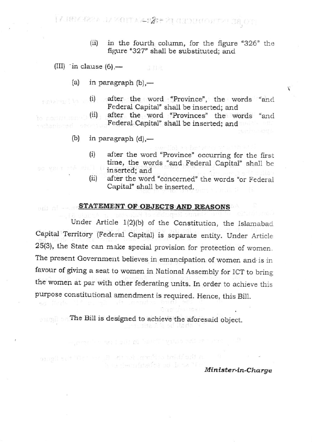22 FORE POSSESSION IN TIPLE AND NEW ASSESSESSES

- (ii) in the fourth column, for the figure " $326$ " the figure "327" shall be substituted; and
- (III) in clause  $(6)$ ,—
	- (a) in paragraph  $(b)$ ,—
- (i) after the word "Province", the words "and Federal Capital" shall be inserted; and nichaiste Thom
	- (ii) after the word "Provinces" the words "and Federal Capital" shall be inserted; and
	- (b) in paragraph  $(d)$ ,—
- (i) after the word "Province" occurring for the first time, the words "and Federal Capital" shall be inserted; and inserted; and<br>
(ii) after the word "concerned" the words "or Federal
	- Capital" shall be inserted.

#### STATEMENT OF OBJECTS AND REASONS

Under Article 1(2)(b) of the Constitution, the Islamabad Capital Territory (Federal Capital) is separate entity. Under Article 25(3), the State can make special provision for protection of women The present Government believes in emancipation of women and is in favour of giving a seat to women in National Assembly for ICT to bring the women at par with other federating units. In order to achieve this purpose constitutional amendment is required. Hence, this Bill.

**The Bill is designed to achieve the aforesaid object.** 

a araa amii o bidi sdi a s sa tha urbedea ed Jana "T

n tas 1 Seit M "With" Villes.

Minister-in-Charge

¥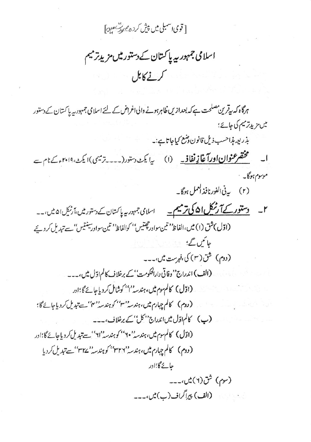[ قوی اسمبلی میں پیش کردہ مہر سی صدح [

اسلامی جمہور سے پاکستان کے دستور میں مزید ترمیم كمبغ كابل

ہرگاہ کہ ریٹرین مصلحت ہے کہ بعدازیں ظاہرہونے والی اغراض کے لئے اسلامی جمہور ریہ پاکستان کے دستور میں مزید ترمیم کی جائے؛ بذريعه بذاحسب ذيل قانون وضع كياجاتا ہے:۔ ا۔ مختصر عنوان اور آغاز نفاف<sub>ت</sub> (ا) یا یکٹ دستور(۔۔۔۔ترمیمی)ا یکٹ، ۲۰۱۹ءک<sub>ٹا ا</sub>ے موسوم ہوگا۔ (۲) بی<sup>قی ا</sup>لفورنافذ ا<sup>لعمل</sup> ہوگا۔ ۲۔ دستور کے آرٹیکل ان کی ترمیم۔ اسلامی جمہوریہ پاکستان کے دستور میں،آرٹیک ان میں،۔۔ (اوّل)شق (۱) میں،الفاظ'' تین سوادر چھتیں'' کوالفاظ'' تین سواورسینتیں'' سے تبدیل کر دئے حائمیں گے؛ (دوم) شق (۳) کی،فہرست میں،۔۔۔ (الف) اندراج''وفاتی دارالحکومت' کے برخلاف کالم اوّل میں،۔۔۔ (اڈل) کالم ہوم میں، ہندسہ''' کوشامل کر دیاجائے گا؛ادر (دوم) كالم چہارم ميں، ہندسہ بن اسکی ہندسہ بن اسے تبدیل کردیاجائے گا؛ (ب) كالم اوّل ميں اندراج 'حكن' ، كے برخلاف،۔۔۔ (اڈل) کالم موم میں،ہندسہ'' ۲۰' کوہندسہ''ای'' سے تبدیل کر دیاجائے گا؛اور (دوم) كالم چہارم ميں، ہندسہ '٣٢٦' كو ہندسہ '٣٢٧' سے تبدیل كرديا حائے گا؛ادر (سوم) شق(۲) میں،۔۔۔ (الف) پیراگراف(ب) ٹیں،۔۔۔